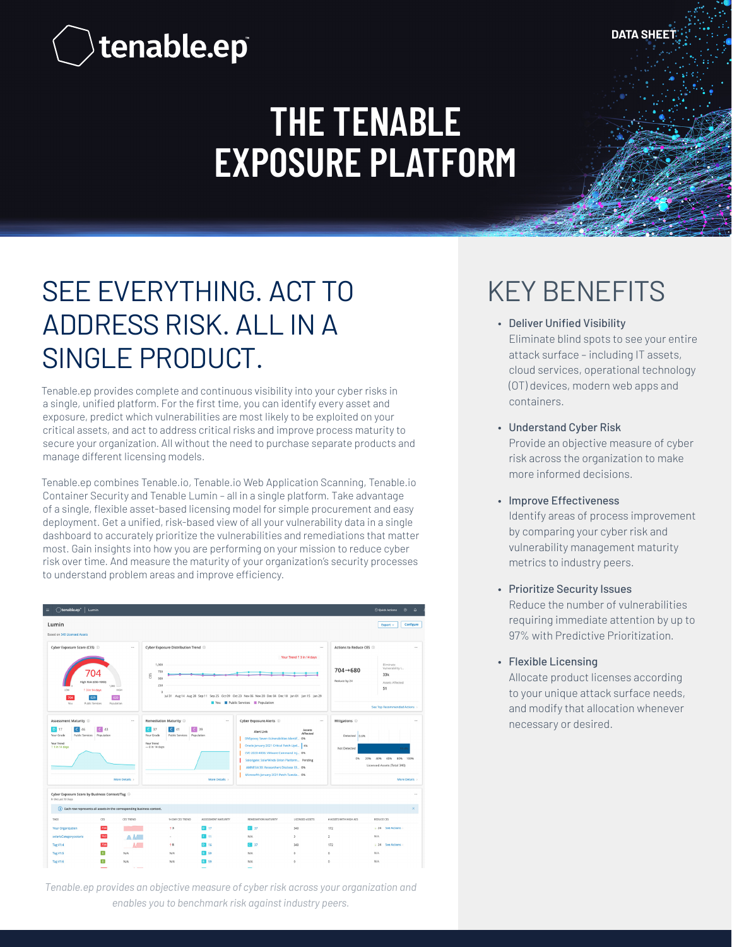**DATA SHEET**

# tenable.ep<sup>®</sup>

## **THE TENABLE EXPOSURE PLATFORM**

### SEE EVERYTHING. ACT TO ADDRESS RISK. ALL IN A SINGLE PRODUCT.

Tenable.ep provides complete and continuous visibility into your cyber risks in a single, unified platform. For the first time, you can identify every asset and exposure, predict which vulnerabilities are most likely to be exploited on your critical assets, and act to address critical risks and improve process maturity to secure your organization. All without the need to purchase separate products and manage different licensing models.

Tenable.ep combines Tenable.io, Tenable.io Web Application Scanning, Tenable.ioContainer Security and Tenable Lumin – all in a single platform. Take advantage of a single, flexible asset-based licensing model for simple procurement and easy deployment. Get a unified, risk-based view of all your vulnerability data in a single dashboard to accurately prioritize the vulnerabilities and remediations that matter most. Gain insights into how you are performing on your mission to reduce cyber risk over time. And measure the maturity of your organization's security processes to understand problem areas and improve efficiency.



*Tenable.ep provides an objective measure of cyber risk across your organization and enables you to benchmark risk against industry peers.*

### KEY BENEFITS

- Deliver Unified Visibility Eliminate blind spots to see your entire attack surface – including IT assets, cloud services, operational technology (OT) devices, modern web apps and containers.
- Understand Cyber Risk Provide an objective measure of cyber risk across the organization to make more informed decisions.
- Improve Effectiveness Identify areas of process improvement by comparing your cyber risk and vulnerability management maturity metrics to industry peers.
- Prioritize Security Issues Reduce the number of vulnerabilities requiring immediate attention by up to 97% with Predictive Prioritization.
- Flexible Licensing Allocate product licenses according to your unique attack surface needs, and modify that allocation whenever necessary or desired.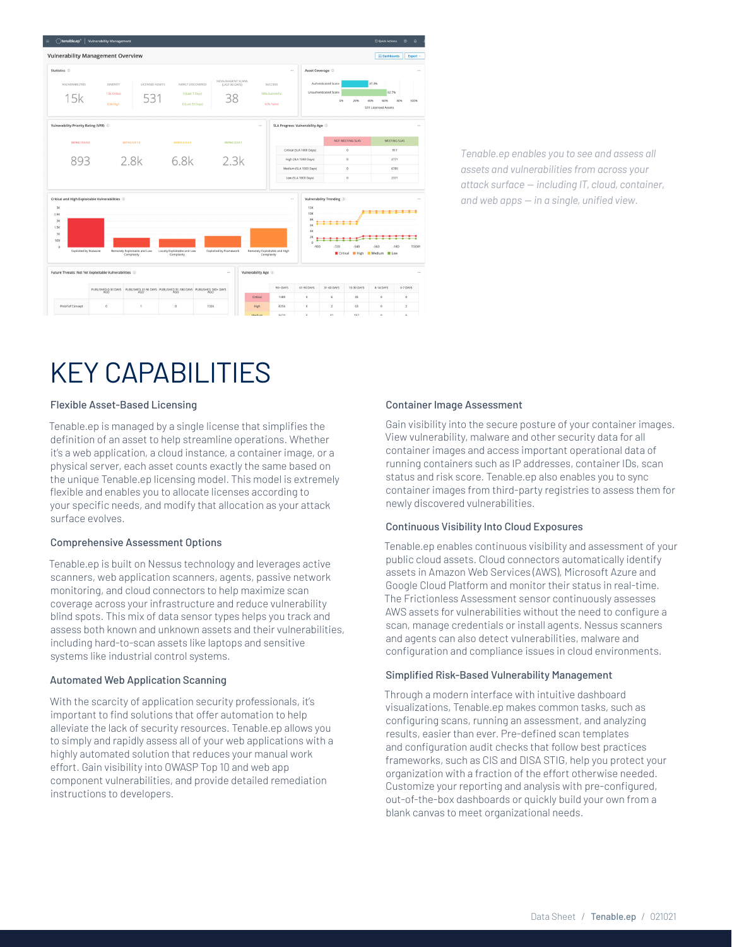

*Tenable.ep enables you to see and assess all assets and vulnerabilities from across your attack surface — including IT, cloud, container, and web apps — in a single, unified view.* 

### KEY CAPABILITIES

#### Flexible Asset-Based Licensing

Tenable.ep is managed by a single license that simplifies the definition of an asset to help streamline operations. Whether it's a web application, a cloud instance, a container image, or a physical server, each asset counts exactly the same based on the unique Tenable.ep licensing model. This model is extremely flexible and enables you to allocate licenses according to your specific needs, and modify that allocation as your attack surface evolves.

#### Comprehensive Assessment Options

Tenable.ep is built on Nessus technology and leverages active scanners, web application scanners, agents, passive network monitoring, and cloud connectors to help maximize scan coverage across your infrastructure and reduce vulnerability blind spots. This mix of data sensor types helps you track and assess both known and unknown assets and their vulnerabilities, including hard-to-scan assets like laptops and sensitive systems like industrial control systems.

#### Automated Web Application Scanning

With the scarcity of application security professionals, it's important to find solutions that offer automation to help alleviate the lack of security resources. Tenable.ep allows you to simply and rapidly assess all of your web applications with a highly automated solution that reduces your manual work effort. Gain visibility into OWASP Top 10 and web app component vulnerabilities, and provide detailed remediation instructions to developers.

#### Container Image Assessment

Gain visibility into the secure posture of your container images. View vulnerability, malware and other security data for all container images and access important operational data of running containers such as IP addresses, container IDs, scan status and risk score. Tenable.ep also enables you to sync container images from third-party registries to assess them for newly discovered vulnerabilities.

#### Continuous Visibility Into Cloud Exposures

Tenable.ep enables continuous visibility and assessment of your public cloud assets. Cloud connectors automatically identify assets in Amazon Web Services (AWS), Microsoft Azure and Google Cloud Platform and monitor their status in real-time. The Frictionless Assessment sensor continuously assesses AWS assets for vulnerabilities without the need to configure a scan, manage credentials or install agents. Nessus scanners and agents can also detect vulnerabilities, malware and configuration and compliance issues in cloud environments.

#### Simplified Risk-Based Vulnerability Management

Through a modern interface with intuitive dashboard visualizations, Tenable.ep makes common tasks, such as configuring scans, running an assessment, and analyzing results, easier than ever. Pre-defined scan templates and configuration audit checks that follow best practices frameworks, such as CIS and DISA STIG, help you protect your organization with a fraction of the effort otherwise needed. Customize your reporting and analysis with pre-configured, out-of-the-box dashboards or quickly build your own from a blank canvas to meet organizational needs.